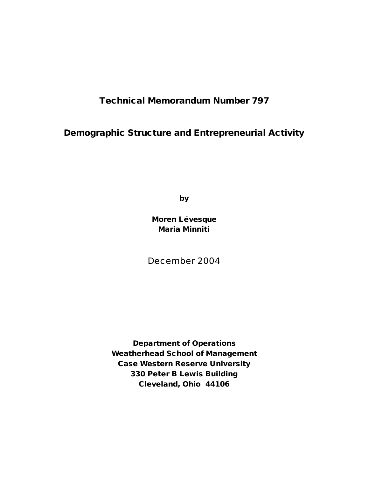# **Technical Memorandum Number 797**

# **Demographic Structure and Entrepreneurial Activity**

**by**

**Moren Lévesque Maria Minniti**

December 2004

**Department of Operations Weatherhead School of Management Case Western Reserve University 330 Peter B Lewis Building Cleveland, Ohio 44106**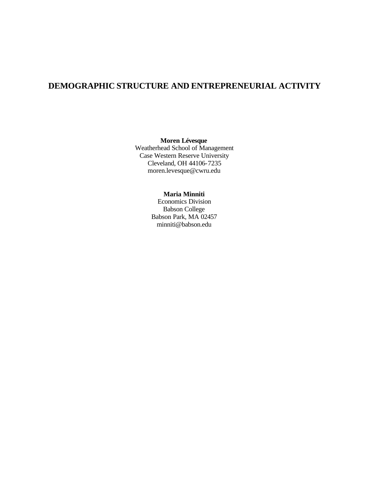## **DEMOGRAPHIC STRUCTURE AND ENTREPRENEURIAL ACTIVITY**

## **Moren Lévesque**

Weatherhead School of Management Case Western Reserve University Cleveland, OH 44106-7235 moren.levesque@cwru.edu

## **Maria Minniti**

Economics Division Babson College Babson Park, MA 02457 minniti@babson.edu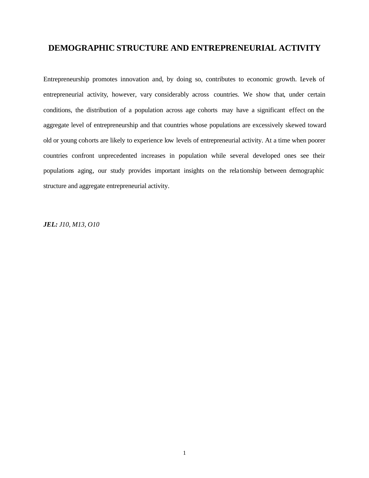## **DEMOGRAPHIC STRUCTURE AND ENTREPRENEURIAL ACTIVITY**

Entrepreneurship promotes innovation and, by doing so, contributes to economic growth. Levels of entrepreneurial activity, however, vary considerably across countries. We show that, under certain conditions, the distribution of a population across age cohorts may have a significant effect on the aggregate level of entrepreneurship and that countries whose populations are excessively skewed toward old or young cohorts are likely to experience low levels of entrepreneurial activity. At a time when poorer countries confront unprecedented increases in population while several developed ones see their populations aging, our study provides important insights on the relationship between demographic structure and aggregate entrepreneurial activity.

*JEL: J10, M13, O10*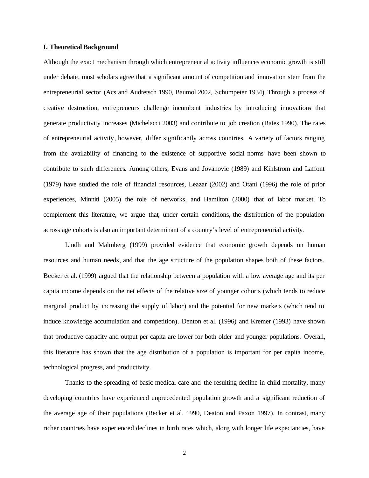#### **I. Theoretical Background**

Although the exact mechanism through which entrepreneurial activity influences economic growth is still under debate, most scholars agree that a significant amount of competition and innovation stem from the entrepreneurial sector (Acs and Audretsch 1990, Baumol 2002, Schumpeter 1934). Through a process of creative destruction, entrepreneurs challenge incumbent industries by introducing innovations that generate productivity increases (Michelacci 2003) and contribute to job creation (Bates 1990). The rates of entrepreneurial activity, however, differ significantly across countries. A variety of factors ranging from the availability of financing to the existence of supportive social norms have been shown to contribute to such differences. Among others, Evans and Jovanovic (1989) and Kihlstrom and Laffont (1979) have studied the role of financial resources, Leazar (2002) and Otani (1996) the role of prior experiences, Minniti (2005) the role of networks, and Hamilton (2000) that of labor market. To complement this literature, we argue that, under certain conditions, the distribution of the population across age cohorts is also an important determinant of a country's level of entrepreneurial activity.

Lindh and Malmberg (1999) provided evidence that economic growth depends on human resources and human needs, and that the age structure of the population shapes both of these factors. Becker et al. (1999) argued that the relationship between a population with a low average age and its per capita income depends on the net effects of the relative size of younger cohorts (which tends to reduce marginal product by increasing the supply of labor) and the potential for new markets (which tend to induce knowledge accumulation and competition). Denton et al. (1996) and Kremer (1993) have shown that productive capacity and output per capita are lower for both older and younger populations. Overall, this literature has shown that the age distribution of a population is important for per capita income, technological progress, and productivity.

Thanks to the spreading of basic medical care and the resulting decline in child mortality, many developing countries have experienced unprecedented population growth and a significant reduction of the average age of their populations (Becker et al. 1990, Deaton and Paxon 1997). In contrast, many richer countries have experienced declines in birth rates which, along with longer life expectancies, have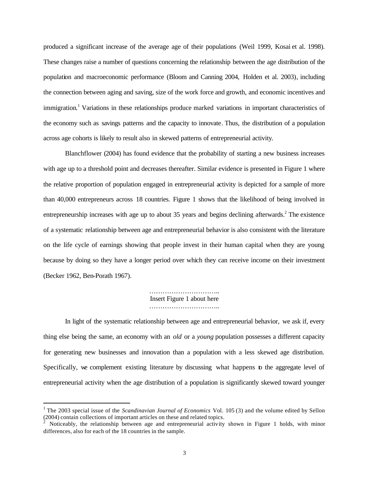produced a significant increase of the average age of their populations (Weil 1999, Kosai et al. 1998). These changes raise a number of questions concerning the relationship between the age distribution of the population and macroeconomic performance (Bloom and Canning 2004, Holden et al. 2003), including the connection between aging and saving, size of the work force and growth, and economic incentives and immigration.<sup>1</sup> Variations in these relationships produce marked variations in important characteristics of the economy such as savings patterns and the capacity to innovate. Thus, the distribution of a population across age cohorts is likely to result also in skewed patterns of entrepreneurial activity.

Blanchflower (2004) has found evidence that the probability of starting a new business increases with age up to a threshold point and decreases thereafter. Similar evidence is presented in Figure 1 where the relative proportion of population engaged in entrepreneurial activity is depicted for a sample of more than 40,000 entrepreneurs across 18 countries. Figure 1 shows that the likelihood of being involved in entrepreneurship increases with age up to about 35 years and begins declining afterwards.<sup>2</sup> The existence of a systematic relationship between age and entrepreneurial behavior is also consistent with the literature on the life cycle of earnings showing that people invest in their human capital when they are young because by doing so they have a longer period over which they can receive income on their investment (Becker 1962, Ben-Porath 1967).

> ………………………….. Insert Figure 1 about here …………………………..

In light of the systematic relationship between age and entrepreneurial behavior, we ask if, every thing else being the same, an economy with an *old* or a *young* population possesses a different capacity for generating new businesses and innovation than a population with a less skewed age distribution. Specifically, we complement existing literature by discussing what happens to the aggregate level of entrepreneurial activity when the age distribution of a population is significantly skewed toward younger

 $\overline{a}$ 

<sup>&</sup>lt;sup>1</sup> The 2003 special issue of the *Scandinavian Journal of Economics* Vol. 105 (3) and the volume edited by Sellon  $(2004)$  contain collections of important articles on these and related topics.

Noticeably, the relationship between age and entrepreneurial activity shown in Figure 1 holds, with minor differences, also for each of the 18 countries in the sample.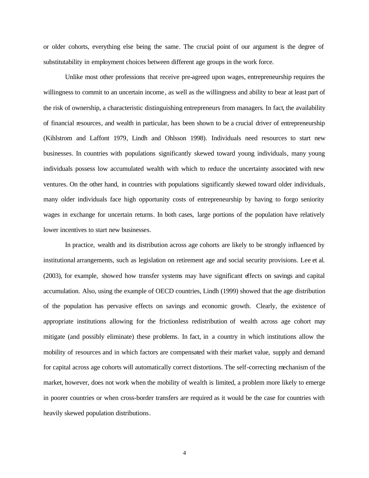or older cohorts, everything else being the same. The crucial point of our argument is the degree of substitutability in employment choices between different age groups in the work force.

Unlike most other professions that receive pre-agreed upon wages, entrepreneurship requires the willingness to commit to an uncertain income , as well as the willingness and ability to bear at least part of the risk of ownership, a characteristic distinguishing entrepreneurs from managers. In fact, the availability of financial resources, and wealth in particular, has been shown to be a crucial driver of entrepreneurship (Kihlstrom and Laffont 1979, Lindh and Ohlsson 1998). Individuals need resources to start new businesses. In countries with populations significantly skewed toward young individuals, many young individuals possess low accumulated wealth with which to reduce the uncertainty associated with new ventures. On the other hand, in countries with populations significantly skewed toward older individuals, many older individuals face high opportunity costs of entrepreneurship by having to forgo seniority wages in exchange for uncertain returns. In both cases, large portions of the population have relatively lower incentives to start new businesses.

In practice, wealth and its distribution across age cohorts are likely to be strongly influenced by institutional arrangements, such as legislation on retirement age and social security provisions. Lee et al. (2003), for example, showed how transfer systems may have significant effects on savings and capital accumulation. Also, using the example of OECD countries, Lindh (1999) showed that the age distribution of the population has pervasive effects on savings and economic growth. Clearly, the existence of appropriate institutions allowing for the frictionless redistribution of wealth across age cohort may mitigate (and possibly eliminate) these problems. In fact, in a country in which institutions allow the mobility of resources and in which factors are compensated with their market value, supply and demand for capital across age cohorts will automatically correct distortions. The self-correcting mechanism of the market, however, does not work when the mobility of wealth is limited, a problem more likely to emerge in poorer countries or when cross-border transfers are required as it would be the case for countries with heavily skewed population distributions.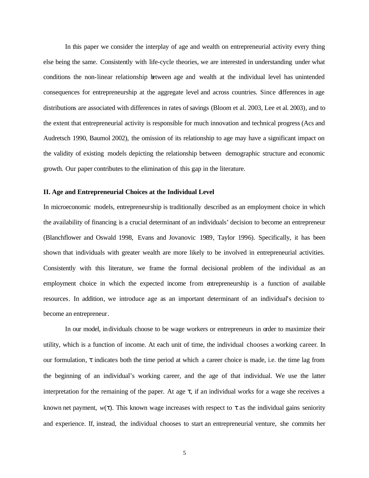In this paper we consider the interplay of age and wealth on entrepreneurial activity every thing else being the same. Consistently with life-cycle theories, we are interested in understanding under what conditions the non-linear relationship between age and wealth at the individual level has unintended consequences for entrepreneurship at the aggregate level and across countries. Since differences in age distributions are associated with differences in rates of savings (Bloom et al. 2003, Lee et al. 2003), and to the extent that entrepreneurial activity is responsible for much innovation and technical progress (Acs and Audretsch 1990, Baumol 2002), the omission of its relationship to age may have a significant impact on the validity of existing models depicting the relationship between demographic structure and economic growth. Our paper contributes to the elimination of this gap in the literature.

#### **II. Age and Entrepreneurial Choices at the Individual Level**

In microeconomic models, entrepreneurship is traditionally described as an employment choice in which the availability of financing is a crucial determinant of an individuals' decision to become an entrepreneur (Blanchflower and Oswald 1998, Evans and Jovanovic 1989, Taylor 1996). Specifically, it has been shown that individuals with greater wealth are more likely to be involved in entrepreneurial activities. Consistently with this literature, we frame the formal decisional problem of the individual as an employment choice in which the expected income from entrepreneurship is a function of available resources. In addition, we introduce age as an important determinant of an individual's decision to become an entrepreneur.

In our model, individuals choose to be wage workers or entrepreneurs in order to maximize their utility, which is a function of income. At each unit of time, the individual chooses a working career. In our formulation, *t* indicates both the time period at which a career choice is made, i.e. the time lag from the beginning of an individual's working career, and the age of that individual. We use the latter interpretation for the remaining of the paper. At age *t,* if an individual works for a wage she receives a known net payment,  $w(t)$ . This known wage increases with respect to  $t$  as the individual gains seniority and experience. If, instead, the individual chooses to start an entrepreneurial venture, she commits her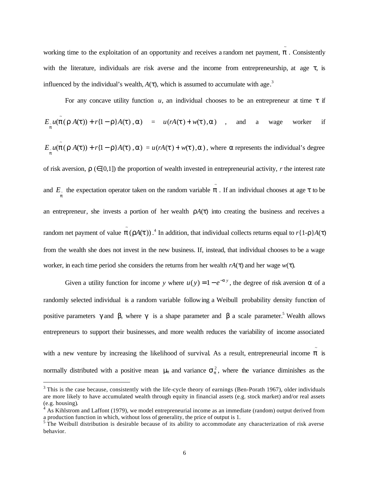working time to the exploitation of an opportunity and receives a random net payment, *p* . Consistently ~ with the literature, individuals are risk averse and the income from entrepreneurship, at age *t*, is influenced by the individual's wealth,  $A(t)$ , which is assumed to accumulate with age.<sup>3</sup>

For any concave utility function  $u$ , an individual chooses to be an entrepreneur at time  $t$  if

$$
E_{\mu} u(\tilde{\boldsymbol{p}}(\boldsymbol{r} A(\boldsymbol{t})) + r\{1-\boldsymbol{r}\}A(\boldsymbol{t}), \boldsymbol{a}) = u(rA(\boldsymbol{t}) + w(\boldsymbol{t}), \boldsymbol{a}) \quad , \quad \text{and} \quad \text{a} \quad \text{wage} \quad \text{worker} \quad \text{if}
$$

 $E_{\mu}u(\tilde{\boldsymbol{p}}(\boldsymbol{r} A(\boldsymbol{t})) + r(1-\boldsymbol{r})A(\boldsymbol{t}), \boldsymbol{a}) = u(rA(\boldsymbol{t}) + w(\boldsymbol{t}), \boldsymbol{a})$ , where **a** represents the individual's degree of risk aversion,  $r \in [0,1]$ ) the proportion of wealth invested in entrepreneurial activity, *r* the interest rate

and  $E_{\perp}$  the expectation operator taken on the random variable  $\tilde{p}$ . If an individual chooses at age *t* to be *p* an entrepreneur, she invests a portion of her wealth  $rA(t)$  into creating the business and receives a random net payment of value  $\tilde{p}$  ( $rA(t)$ ).<sup>4</sup> In addition, that individual collects returns equal to  $r\{1-r\}A(t)$ from the wealth she does not invest in the new business. If, instead, that individual chooses to be a wage worker, in each time period she considers the returns from her wealth *rA*(*t*) and her wage *w*(*t*).

Given a utility function for income *y* where  $u(y) = 1 - e^{-ay}$ , the degree of risk aversion *a* of a randomly selected individual is a random variable following a Weibull probability density function of positive parameters  $g$  and  $b$ , where  $g$  is a shape parameter and  $b$  a scale parameter.<sup>5</sup> Wealth allows entrepreneurs to support their businesses, and more wealth reduces the variability of income associated with a new venture by increasing the likelihood of survival. As a result, entrepreneurial income  $\tilde{p}$  is

normally distributed with a positive mean  $m_p$  and variance  $s_p^2$ , where the variance diminishes as the

 $\overline{a}$ 

 $3$  This is the case because, consistently with the life-cycle theory of earnings (Ben-Porath 1967), older individuals are more likely to have accumulated wealth through equity in financial assets (e.g. stock market) and/or real assets (e.g. housing).

 $4$  As Kihlstrom and Laffont (1979), we model entrepreneurial income as an immediate (random) output derived from a production function in which, without loss of generality, the price of output is 1.<br><sup>5</sup> The Weibull distribution is desirable because of its ability to accommodate any characterization of risk averse

behavior.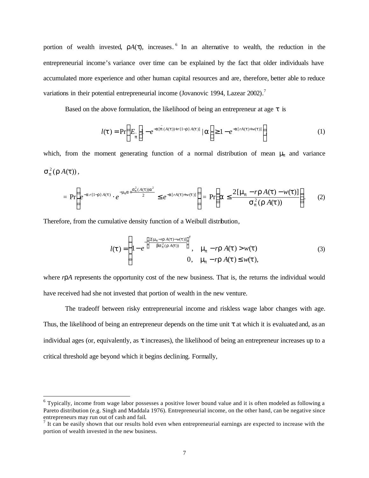portion of wealth invested,  $rA(t)$ , increases.<sup>6</sup> In an alternative to wealth, the reduction in the entrepreneurial income's variance over time can be explained by the fact that older individuals have accumulated more experience and other human capital resources and are, therefore, better able to reduce variations in their potential entrepreneurial income (Jovanovic 1994, Lazear 2002).<sup>7</sup>

Based on the above formulation, the likelihood of being an entrepreneur at age *t* is

$$
l(\mathbf{t}) = \Pr\left(E_{\widetilde{p}}\left[1 - e^{-a[\widetilde{p}(A(\mathbf{t}))+r\{1-r\}A(\mathbf{t})]}\mid \mathbf{a}\right] \ge 1 - e^{-a[rA(\mathbf{t})+w(\mathbf{t})]}\right)
$$
(1)

which, from the moment generating function of a normal distribution of mean **m**<sub>*n*</sub> and variance  $\mathbf{s}_p^2(\mathbf{r}A(t)),$ 

$$
= \Pr\left(e^{-a r\{1-r\}A(t)} \cdot e^{-m_p a + \frac{s_p^2(A(t))a^2}{2}} \le e^{-a[rA(t)+w(t)]}\right) = \Pr\left(a \le \frac{2[m_p - r\,A(t) - w(t)]}{s_p^2(r\,A(t))}\right).
$$
 (2)

Therefore, from the cumulative density function of a Weibull distribution,

 $\overline{a}$ 

$$
l(\mathbf{t}) = \begin{cases} 1 - e^{-\left\{\frac{2\left(\mathbf{m}_p - r\mathbf{A}(t) - w(\mathbf{t})\right)}{\mathbf{b}\mathbf{s}_p^2\left(\mathbf{r}\mathbf{A}(t)\right)}\right\}^{\beta}, & \mathbf{m}_p - r\mathbf{r}\mathbf{A}(\mathbf{t}) > w(\mathbf{t})\\ 0, & \mathbf{m}_p - r\mathbf{r}\mathbf{A}(\mathbf{t}) \leq w(\mathbf{t}), \end{cases} \tag{3}
$$

where *rrA* represents the opportunity cost of the new business. That is, the returns the individual would have received had she not invested that portion of wealth in the new venture.

The tradeoff between risky entrepreneurial income and riskless wage labor changes with age. Thus, the likelihood of being an entrepreneur depends on the time unit *t* at which it is evaluated and, as an individual ages (or, equivalently, as *t* increases), the likelihood of being an entrepreneur increases up to a critical threshold age beyond which it begins declining. Formally,

<sup>&</sup>lt;sup>6</sup> Typically, income from wage labor possesses a positive lower bound value and it is often modeled as following a Pareto distribution (e.g. Singh and Maddala 1976). Entrepreneurial income, on the other hand, can be negative since entrepreneurs may run out of cash and fail.<br><sup>7</sup> It can be easily shown that our results hold even when entrepreneurial earnings are expected to increase with the

portion of wealth invested in the new business.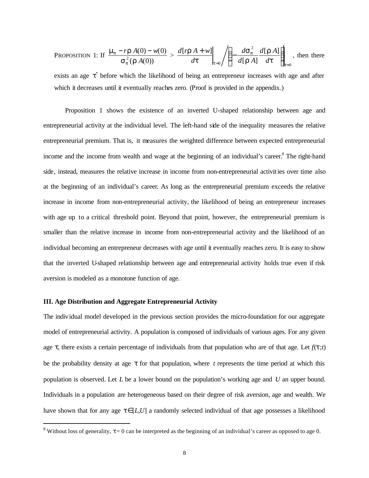PROPOSITION 1: If 
$$
\frac{\mathbf{m}_p - r\mathbf{r} A(0) - w(0)}{\mathbf{s}_p^2(\mathbf{r} A(0))} > \frac{d[r\mathbf{r} A + w]}{dt} \bigg|_{t=0} / \left( -\frac{d\mathbf{s}_p^2}{d[\mathbf{r} A]} \frac{d[\mathbf{r} A]}{dt} \right)_{t=0}
$$
, then there

exists an age  $t^*$  before which the likelihood of being an entrepreneur increases with age and after which it decreases until it eventually reaches zero. (Proof is provided in the appendix.)

Proposition 1 shows the existence of an inverted U-shaped relationship between age and entrepreneurial activity at the individual level. The left-hand side of the inequality measures the relative entrepreneurial premium. That is, it measures the weighted difference between expected entrepreneurial income and the income from wealth and wage at the beginning of an individual's career.<sup>8</sup> The right-hand side, instead, measures the relative increase in income from non-entrepreneurial activities over time also at the beginning of an individual's career. As long as the entrepreneurial premium exceeds the relative increase in income from non-entrepreneurial activity, the likelihood of being an entrepreneur increases with age up to a critical threshold point. Beyond that point, however, the entrepreneurial premium is smaller than the relative increase in income from non-entrepreneurial activity and the likelihood of an individual becoming an entrepreneur decreases with age until it eventually reaches zero. It is easy to show that the inverted U-shaped relationship between age and entrepreneurial activity holds true even if risk aversion is modeled as a monotone function of age.

## **III. Age Distribution and Aggregate Entrepreneurial Activity**

 $\overline{a}$ 

The individual model developed in the previous section provides the micro-foundation for our aggregate model of entrepreneurial activity. A population is composed of individuals of various ages. For any given age  $t$ , there exists a certain percentage of individuals from that population who are of that age. Let  $f(t; t)$ be the probability density at age *t* for that population, where *t* represents the time period at which this population is observed. Let *L* be a lower bound on the population's working age and *U* an upper bound. Individuals in a population are heterogeneous based on their degree of risk aversion, age and wealth. We have shown that for any age  $t \in [L, U]$  a randomly selected individual of that age possesses a likelihood

 $8$  Without loss of generality,  $t = 0$  can be interpreted as the beginning of an individual's career as opposed to age 0.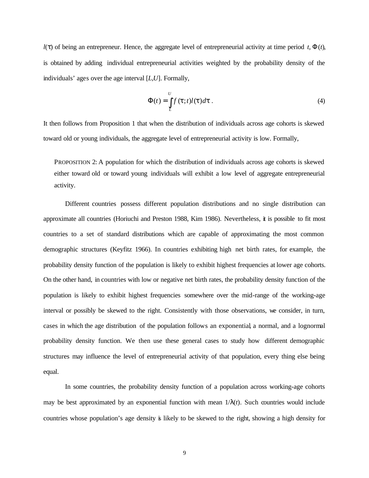*l*(*t*) of being an entrepreneur. Hence, the aggregate level of entrepreneurial activity at time period *t*, Φ(*t*), is obtained by adding individual entrepreneurial activities weighted by the probability density of the individuals' ages over the age interval [*L*,*U*]. Formally,

$$
\Phi(t) = \int_{L}^{U} f(t;t)l(t)dt.
$$
\n(4)

It then follows from Proposition 1 that when the distribution of individuals across age cohorts is skewed toward old or young individuals, the aggregate level of entrepreneurial activity is low. Formally,

PROPOSITION 2: A population for which the distribution of individuals across age cohorts is skewed either toward old or toward young individuals will exhibit a low level of aggregate entrepreneurial activity.

Different countries possess different population distributions and no single distribution can approximate all countries (Horiuchi and Preston 1988, Kim 1986). Nevertheless, it is possible to fit most countries to a set of standard distributions which are capable of approximating the most common demographic structures (Keyfitz 1966). In countries exhibiting high net birth rates, for example, the probability density function of the population is likely to exhibit highest frequencies at lower age cohorts. On the other hand, in countries with low or negative net birth rates, the probability density function of the population is likely to exhibit highest frequencies somewhere over the mid-range of the working-age interval or possibly be skewed to the right. Consistently with those observations, we consider, in turn, cases in which the age distribution of the population follows an exponential, a normal, and a lognormal probability density function. We then use these general cases to study how different demographic structures may influence the level of entrepreneurial activity of that population, every thing else being equal.

In some countries, the probability density function of a population across working-age cohorts may be best approximated by an exponential function with mean  $1/I(t)$ . Such countries would include countries whose population's age density is likely to be skewed to the right, showing a high density for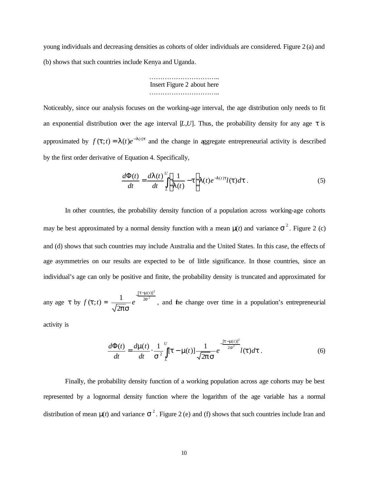young individuals and decreasing densities as cohorts of older individuals are considered. Figure 2 (a) and (b) shows that such countries include Kenya and Uganda.

> ……………………………………… Insert Figure 2 about here …………………………………

Noticeably, since our analysis focuses on the working-age interval, the age distribution only needs to fit an exponential distribution over the age interval  $[L, U]$ . Thus, the probability density for any age  $t$  is approximated by  $f(\mathbf{t}; t) = \mathbf{I}(t)e^{-\mathbf{I}(t)t}$  and the change in aggregate entrepreneurial activity is described by the first order derivative of Equation 4. Specifically,

$$
\frac{d\Phi(t)}{dt} = \frac{d\mathbf{I}(t)}{dt} \int_{L}^{U} \left[ \frac{1}{\mathbf{I}(t)} - t \right] \mathbf{I}(t) e^{-\mathbf{I}(t)t} l(\mathbf{t}) d\mathbf{t} \,. \tag{5}
$$

In other countries, the probability density function of a population across working-age cohorts may be best approximated by a normal density function with a mean  $m(t)$  and variance  $s^2$ . Figure 2 (c) and (d) shows that such countries may include Australia and the United States. In this case, the effects of age asymmetries on our results are expected to be of little significance. In those countries, since an individual's age can only be positive and finite, the probability density is truncated and approximated for

any age *t* by  $f(t; t) = \frac{1}{\sqrt{2\pi}} e^{-2s^2}$ 2 2  $[t-m(t)]$ 2 1  $\frac{[t-m]}{2s}$ *ps t e*  $-t-$ , and the change over time in a population's entrepreneurial

activity is

$$
\frac{d\Phi(t)}{dt} = \frac{d\mathbf{m}(t)}{dt} \cdot \frac{1}{s^2} \int_{L}^{U} [\mathbf{t} - \mathbf{m}(t)] \frac{1}{\sqrt{2\mathbf{p}} s} e^{-\frac{[\mathbf{t} - \mathbf{m}(t)]^2}{2s^2}} l(\mathbf{t}) dt.
$$
 (6)

Finally, the probability density function of a working population across age cohorts may be best represented by a lognormal density function where the logarithm of the age variable has a normal distribution of mean  $m(t)$  and variance  $s^2$ . Figure 2 (e) and (f) shows that such countries include Iran and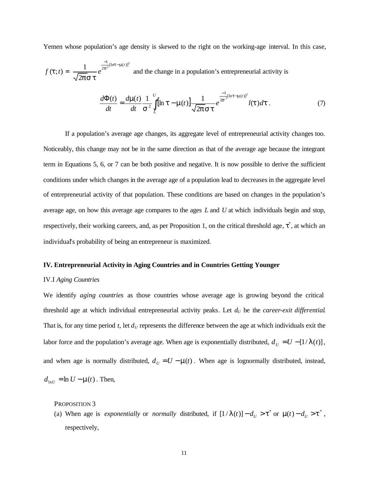Yemen whose population's age density is skewed to the right on the working-age interval. In this case,

$$
f(\mathbf{t};t) = \frac{1}{\sqrt{2\mathbf{p}}\mathbf{s}\,\mathbf{t}} e^{\frac{-1}{2\mathbf{s}^2}[\ln t - \mathbf{m}(t)]^2}
$$
 and the change in a population's entrepreneural activity is

$$
\frac{d\Phi(t)}{dt} = \frac{d\mathbf{m}(t)}{dt} \frac{1}{s^2} \int\limits_{L}^{U} \left[ \ln \mathbf{t} - \mathbf{m}(t) \right] \frac{1}{\sqrt{2\mathbf{p}} s \mathbf{t}} e^{-\frac{1}{2s^2} [\ln t - \mathbf{m}(t)]^2} l(\mathbf{t}) d\mathbf{t} \,. \tag{7}
$$

If a population's average age changes, its aggregate level of entrepreneurial activity changes too. Noticeably, this change may not be in the same direction as that of the average age because the integrant term in Equations 5, 6, or 7 can be both positive and negative. It is now possible to derive the sufficient conditions under which changes in the average age of a population lead to decreases in the aggregate level of entrepreneurial activity of that population. These conditions are based on changes in the population's average age, on how this average age compares to the ages *L* and *U* at which individuals begin and stop, respectively, their working careers, and, as per Proposition 1, on the critical threshold age,  $t^*$ , at which an individual's probability of being an entrepreneur is maximized.

#### **IV. Entrepreneurial Activity in Aging Countries and in Countries Getting Younger**

### IV.I *Aging Countries*

We identify *aging countries* as those countries whose average age is growing beyond the critical threshold age at which individual entrepreneurial activity peaks. Let  $d_U$  be the *career-exit differential*. That is, for any time period  $t$ , let  $d<sub>U</sub>$  represents the difference between the age at which individuals exit the labor force and the population's average age. When age is exponentially distributed,  $d_U = U - [1/I(t)]$ , and when age is normally distributed,  $d_U = U - \mathbf{m}(t)$ . When age is lognormally distributed, instead,  $d_{\text{ln}U} = \ln U - \mathbf{m}(t)$ . Then,

PROPOSITION 3

(a) When age is *exponentially* or *normally* distributed, if  $[1 / I(t)] - d_U > t^*$  or  $m(t) - d_U > t^*$ , respectively,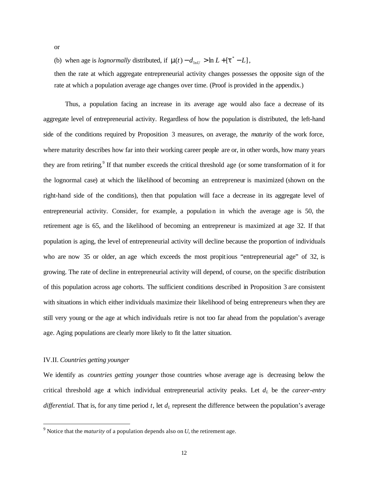or

(b) when age is *lognormally* distributed, if  $\mathbf{m}(t) - d_{\text{ln}U} > \ln L + [t^* - L]$ ,

then the rate at which aggregate entrepreneurial activity changes possesses the opposite sign of the rate at which a population average age changes over time. (Proof is provided in the appendix.)

Thus, a population facing an increase in its average age would also face a decrease of its aggregate level of entrepreneurial activity. Regardless of how the population is distributed, the left-hand side of the conditions required by Proposition 3 measures, on average, the *maturity* of the work force, where maturity describes how far into their working career people are or, in other words, how many years they are from retiring.<sup>9</sup> If that number exceeds the critical threshold age (or some transformation of it for the lognormal case) at which the likelihood of becoming an entrepreneur is maximized (shown on the right-hand side of the conditions), then that population will face a decrease in its aggregate level of entrepreneurial activity. Consider, for example, a population in which the average age is 50, the retirement age is 65, and the likelihood of becoming an entrepreneur is maximized at age 32. If that population is aging, the level of entrepreneurial activity will decline because the proportion of individuals who are now 35 or older, an age which exceeds the most propitious "entrepreneurial age" of 32, is growing. The rate of decline in entrepreneurial activity will depend, of course, on the specific distribution of this population across age cohorts. The sufficient conditions described in Proposition 3 are consistent with situations in which either individuals maximize their likelihood of being entrepreneurs when they are still very young or the age at which individuals retire is not too far ahead from the population's average age. Aging populations are clearly more likely to fit the latter situation.

### IV.II. *Countries getting younger*

 $\overline{a}$ 

We identify as *countries getting younger* those countries whose average age is decreasing below the critical threshold age at which individual entrepreneurial activity peaks. Let *dL* be the *career-entry differential.* That is, for any time period *t*, let *dL* represent the difference between the population's average

 $9$  Notice that the *maturity* of a population depends also on *U*, the retirement age.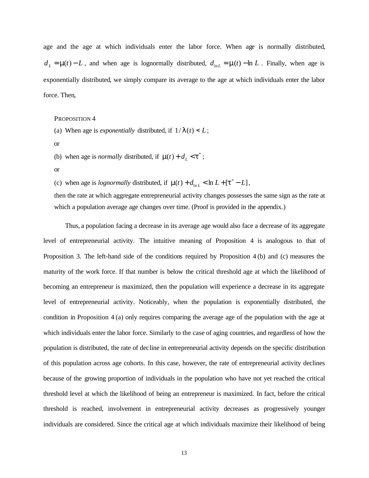age and the age at which individuals enter the labor force. When age is normally distributed,  $d_L = m(t) - L$ , and when age is lognormally distributed,  $d_{\ln L} = m(t) - \ln L$ . Finally, when age is exponentially distributed, we simply compare its average to the age at which individuals enter the labor force. Then,

PROPOSITION 4

- (a) When age is *exponentially* distributed, if  $1/I(t) < L$ ;
- or
- (b) when age is *normally* distributed, if  $\mathbf{m}(t) + d_L < \mathbf{t}^*$ ;
- or

(c) when age is *lognormally* distributed, if  $\mathbf{m}(t) + d_{\ln L} < \ln L + [t^* - L]$ ,

then the rate at which aggregate entrepreneurial activity changes possesses the same sign as the rate at which a population average age changes over time. (Proof is provided in the appendix.)

Thus, a population facing a decrease in its average age would also face a decrease of its aggregate level of entrepreneurial activity. The intuitive meaning of Proposition 4 is analogous to that of Proposition 3. The left-hand side of the conditions required by Proposition 4 (b) and (c) measures the maturity of the work force. If that number is below the critical threshold age at which the likelihood of becoming an entrepreneur is maximized, then the population will experience a decrease in its aggregate level of entrepreneurial activity. Noticeably, when the population is exponentially distributed, the condition in Proposition 4 (a) only requires comparing the average age of the population with the age at which individuals enter the labor force. Similarly to the case of aging countries, and regardless of how the population is distributed, the rate of decline in entrepreneurial activity depends on the specific distribution of this population across age cohorts. In this case, however, the rate of entrepreneurial activity declines because of the growing proportion of individuals in the population who have not yet reached the critical threshold level at which the likelihood of being an entrepreneur is maximized. In fact, before the critical threshold is reached, involvement in entrepreneurial activity decreases as progressively younger individuals are considered. Since the critical age at which individuals maximize their likelihood of being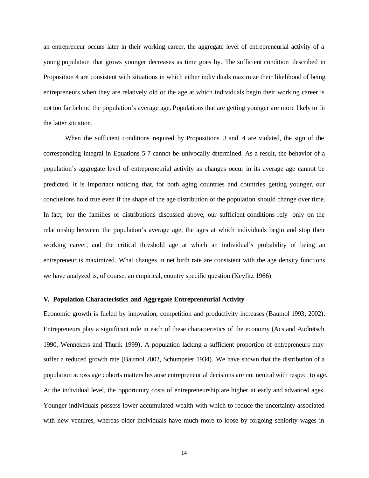an entrepreneur occurs later in their working career, the aggregate level of entrepreneurial activity of a young population that grows younger decreases as time goes by. The sufficient condition described in Proposition 4 are consistent with situations in which either individuals maximize their likelihood of being entrepreneurs when they are relatively old or the age at which individuals begin their working career is not too far behind the population's average age. Populations that are getting younger are more likely to fit the latter situation.

When the sufficient conditions required by Propositions 3 and 4 are violated, the sign of the corresponding integral in Equations 5-7 cannot be univocally determined. As a result, the behavior of a population's aggregate level of entrepreneurial activity as changes occur in its average age cannot be predicted. It is important noticing that, for both aging countries and countries getting younger, our conclusions hold true even if the shape of the age distribution of the population should change over time. In fact, for the families of distributions discussed above, our sufficient conditions rely only on the relationship between the population's average age, the ages at which individuals begin and stop their working career, and the critical threshold age at which an individual's probability of being an entrepreneur is maximized. What changes in net birth rate are consistent with the age density functions we have analyzed is, of course, an empirical, country specific question (Keyfitz 1966).

## **V. Population Characteristics and Aggregate Entrepreneurial Activity**

Economic growth is fueled by innovation, competition and productivity increases (Baumol 1993, 2002). Entrepreneurs play a significant role in each of these characteristics of the economy (Acs and Audretsch 1990, Wennekers and Thurik 1999). A population lacking a sufficient proportion of entrepreneurs may suffer a reduced growth rate (Baumol 2002, Schumpeter 1934). We have shown that the distribution of a population across age cohorts matters because entrepreneurial decisions are not neutral with respect to age. At the individual level, the opportunity costs of entrepreneurship are higher at early and advanced ages. Younger individuals possess lower accumulated wealth with which to reduce the uncertainty associated with new ventures, whereas older individuals have much more to loose by forgoing seniority wages in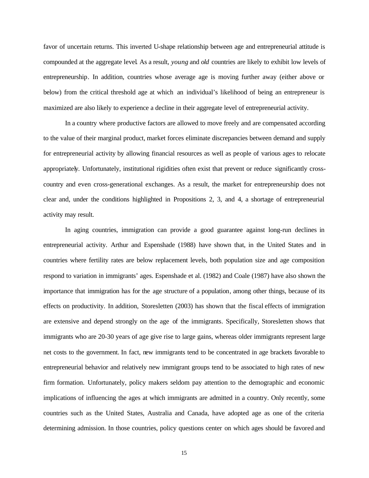favor of uncertain returns. This inverted U-shape relationship between age and entrepreneurial attitude is compounded at the aggregate level. As a result, *young* and *old* countries are likely to exhibit low levels of entrepreneurship. In addition, countries whose average age is moving further away (either above or below) from the critical threshold age at which an individual's likelihood of being an entrepreneur is maximized are also likely to experience a decline in their aggregate level of entrepreneurial activity.

In a country where productive factors are allowed to move freely and are compensated according to the value of their marginal product, market forces eliminate discrepancies between demand and supply for entrepreneurial activity by allowing financial resources as well as people of various ages to relocate appropriately. Unfortunately, institutional rigidities often exist that prevent or reduce significantly crosscountry and even cross-generational exchanges. As a result, the market for entrepreneurship does not clear and, under the conditions highlighted in Propositions 2, 3, and 4, a shortage of entrepreneurial activity may result.

In aging countries, immigration can provide a good guarantee against long-run declines in entrepreneurial activity. Arthur and Espenshade (1988) have shown that, in the United States and in countries where fertility rates are below replacement levels, both population size and age composition respond to variation in immigrants' ages. Espenshade et al. (1982) and Coale (1987) have also shown the importance that immigration has for the age structure of a population, among other things, because of its effects on productivity. In addition, Storesletten (2003) has shown that the fiscal effects of immigration are extensive and depend strongly on the age of the immigrants. Specifically, Storesletten shows that immigrants who are 20-30 years of age give rise to large gains, whereas older immigrants represent large net costs to the government. In fact, new immigrants tend to be concentrated in age brackets favorable to entrepreneurial behavior and relatively new immigrant groups tend to be associated to high rates of new firm formation. Unfortunately, policy makers seldom pay attention to the demographic and economic implications of influencing the ages at which immigrants are admitted in a country. Only recently, some countries such as the United States, Australia and Canada, have adopted age as one of the criteria determining admission. In those countries, policy questions center on which ages should be favored and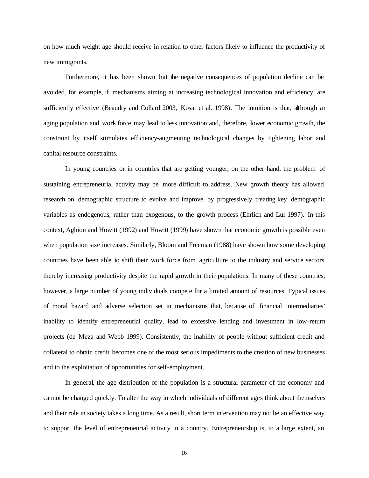on how much weight age should receive in relation to other factors likely to influence the productivity of new immigrants.

Furthermore, it has been shown that the negative consequences of population decline can be avoided, for example, if mechanisms aiming at increasing technological innovation and efficiency are sufficiently effective (Beaudry and Collard 2003, Kosai et al. 1998). The intuition is that, although an aging population and work force may lead to less innovation and, therefore, lower economic growth, the constraint by itself stimulates efficiency-augmenting technological changes by tightening labor and capital resource constraints.

In young countries or in countries that are getting younger, on the other hand, the problem of sustaining entrepreneurial activity may be more difficult to address. New growth theory has allowed research on demographic structure to evolve and improve by progressively treating key demographic variables as endogenous, rather than exogenous, to the growth process (Ehrlich and Lui 1997). In this context, Aghion and Howitt (1992) and Howitt (1999) have shown that economic growth is possible even when population size increases. Similarly, Bloom and Freeman (1988) have shown how some developing countries have been able to shift their work force from agriculture to the industry and service sectors thereby increasing productivity despite the rapid growth in their populations. In many of these countries, however, a large number of young individuals compete for a limited amount of resources. Typical issues of moral hazard and adverse selection set in mechanisms that, because of financial intermediaries' inability to identify entrepreneurial quality, lead to excessive lending and investment in low-return projects (de Meza and Webb 1999). Consistently, the inability of people without sufficient credit and collateral to obtain credit becomes one of the most serious impediments to the creation of new businesses and to the exploitation of opportunities for self-employment.

In general, the age distribution of the population is a structural parameter of the economy and cannot be changed quickly. To alter the way in which individuals of different ages think about themselves and their role in society takes a long time. As a result, short term intervention may not be an effective way to support the level of entrepreneurial activity in a country. Entrepreneurship is, to a large extent, an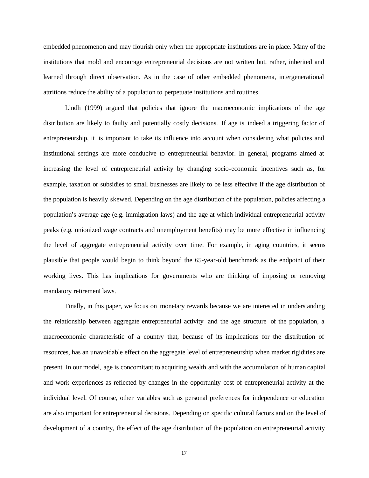embedded phenomenon and may flourish only when the appropriate institutions are in place. Many of the institutions that mold and encourage entrepreneurial decisions are not written but, rather, inherited and learned through direct observation. As in the case of other embedded phenomena, intergenerational attritions reduce the ability of a population to perpetuate institutions and routines.

Lindh (1999) argued that policies that ignore the macroeconomic implications of the age distribution are likely to faulty and potentially costly decisions. If age is indeed a triggering factor of entrepreneurship, it is important to take its influence into account when considering what policies and institutional settings are more conducive to entrepreneurial behavior. In general, programs aimed at increasing the level of entrepreneurial activity by changing socio-economic incentives such as, for example, taxation or subsidies to small businesses are likely to be less effective if the age distribution of the population is heavily skewed. Depending on the age distribution of the population, policies affecting a population's average age (e.g. immigration laws) and the age at which individual entrepreneurial activity peaks (e.g. unionized wage contracts and unemployment benefits) may be more effective in influencing the level of aggregate entrepreneurial activity over time. For example, in aging countries, it seems plausible that people would begin to think beyond the 65-year-old benchmark as the endpoint of their working lives. This has implications for governments who are thinking of imposing or removing mandatory retirement laws.

Finally, in this paper, we focus on monetary rewards because we are interested in understanding the relationship between aggregate entrepreneurial activity and the age structure of the population, a macroeconomic characteristic of a country that, because of its implications for the distribution of resources, has an unavoidable effect on the aggregate level of entrepreneurship when market rigidities are present. In our model, age is concomitant to acquiring wealth and with the accumulation of human capital and work experiences as reflected by changes in the opportunity cost of entrepreneurial activity at the individual level. Of course, other variables such as personal preferences for independence or education are also important for entrepreneurial decisions. Depending on specific cultural factors and on the level of development of a country, the effect of the age distribution of the population on entrepreneurial activity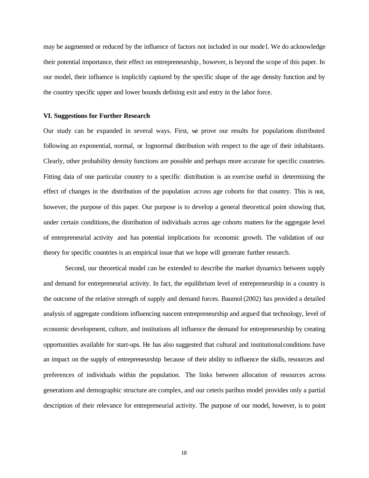may be augmented or reduced by the influence of factors not included in our mode l. We do acknowledge their potential importance, their effect on entrepreneurship, however, is beyond the scope of this paper. In our model, their influence is implicitly captured by the specific shape of the age density function and by the country specific upper and lower bounds defining exit and entry in the labor force.

### **VI. Suggestions for Further Research**

Our study can be expanded in several ways. First, we prove our results for populations distributed following an exponential, normal, or lognormal distribution with respect to the age of their inhabitants. Clearly, other probability density functions are possible and perhaps more accurate for specific countries. Fitting data of one particular country to a specific distribution is an exercise useful in determining the effect of changes in the distribution of the population across age cohorts for that country. This is not, however, the purpose of this paper. Our purpose is to develop a general theoretical point showing that, under certain conditions, the distribution of individuals across age cohorts matters for the aggregate level of entrepreneurial activity and has potential implications for economic growth. The validation of our theory for specific countries is an empirical issue that we hope will generate further research.

Second, our theoretical model can be extended to describe the market dynamics between supply and demand for entrepreneurial activity. In fact, the equilibrium level of entrepreneurship in a country is the outcome of the relative strength of supply and demand forces. Baumol (2002) has provided a detailed analysis of aggregate conditions influencing nascent entrepreneurship and argued that technology, level of economic development, culture, and institutions all influence the demand for entrepreneurship by creating opportunities available for start-ups. He has also suggested that cultural and institutional conditions have an impact on the supply of entrepreneurship because of their ability to influence the skills, resources and preferences of individuals within the population. The links between allocation of resources across generations and demographic structure are complex, and our ceteris paribus model provides only a partial description of their relevance for entrepreneurial activity. The purpose of our model, however, is to point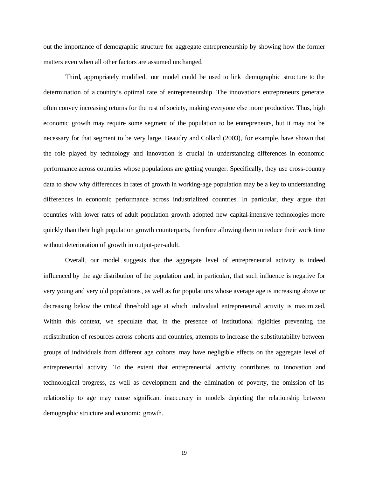out the importance of demographic structure for aggregate entrepreneurship by showing how the former matters even when all other factors are assumed unchanged.

Third, appropriately modified, our model could be used to link demographic structure to the determination of a country's optimal rate of entrepreneurship. The innovations entrepreneurs generate often convey increasing returns for the rest of society, making everyone else more productive. Thus, high economic growth may require some segment of the population to be entrepreneurs, but it may not be necessary for that segment to be very large. Beaudry and Collard (2003), for example, have shown that the role played by technology and innovation is crucial in understanding differences in economic performance across countries whose populations are getting younger. Specifically, they use cross-country data to show why differences in rates of growth in working-age population may be a key to understanding differences in economic performance across industrialized countries. In particular, they argue that countries with lower rates of adult population growth adopted new capital-intensive technologies more quickly than their high population growth counterparts, therefore allowing them to reduce their work time without deterioration of growth in output-per-adult.

Overall, our model suggests that the aggregate level of entrepreneurial activity is indeed influenced by the age distribution of the population and, in particula r, that such influence is negative for very young and very old populations, as well as for populations whose average age is increasing above or decreasing below the critical threshold age at which individual entrepreneurial activity is maximized. Within this context, we speculate that, in the presence of institutional rigidities preventing the redistribution of resources across cohorts and countries, attempts to increase the substitutability between groups of individuals from different age cohorts may have negligible effects on the aggregate level of entrepreneurial activity. To the extent that entrepreneurial activity contributes to innovation and technological progress, as well as development and the elimination of poverty, the omission of its relationship to age may cause significant inaccuracy in models depicting the relationship between demographic structure and economic growth.

19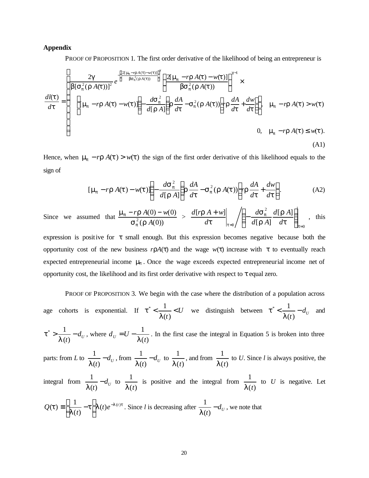#### **Appendix**

PROOF OF PROPOSITION 1. The first order derivative of the likelihood of being an entrepreneur is

$$
\frac{dl(t)}{dt} = \begin{cases}\n\frac{2g}{b[s_p^2(rA(t))]^2} e^{-\left[\frac{2[m_p - rA(t) - w(t)]}{bs_p^2(rA(t))}\right]^g} \left\{ \frac{2[m_p - rA(t) - w(t)]}{bs_p^2(rA(t))} \right\}^{g-1} \times \\
\frac{dl(t)}{dt} = \begin{cases}\n\left[m_p - rA(t) - w(t)\right] \left(-\frac{dS_p^2}{d[rA]}\right) r \frac{dA}{dt} - S_p^2(rA(t)) \left[ r r \frac{dA}{dt} + \frac{dw}{dt} \right]\right\}, & m_p - rA(t) > w(t) \\
0, & m_p - rA(t) \le w(t).\n\end{cases}
$$
\n(A1)

Hence, when  $m_p - r r A(t) > w(t)$  the sign of the first order derivative of this likelihood equals to the sign of

$$
[\mathbf{m}_p - r\mathbf{r}A(\mathbf{t}) - w(\mathbf{t})] \left( -\frac{d\mathbf{s}_p^2}{d[\mathbf{r}A]} \right) \mathbf{r} \frac{dA}{d\mathbf{t}} - \mathbf{s}_p^2 (\mathbf{r}A(\mathbf{t})) \left[ r\mathbf{r} \frac{dA}{d\mathbf{t}} + \frac{dw}{d\mathbf{t}} \right].
$$
 (A2)

Since we assumed that  $(r A(0))$  $(0) - w(0)$  $\int_{0}^{2} (\mathbf{r} A)^2$  $r \mathbf{r} A(0) - w$  $\boldsymbol{s}_{\mathbf{n}}^{\,2}(\boldsymbol{r}% _{0})=\boldsymbol{1}_{\mathbf{n}}^{\,2}(\boldsymbol{r}_{0})$  $m_n - r\mathbf{r}$ *p*  $p - r \mathbf{r} A(0) - w(0) >$ 0 2 0  $[rA]$  $[rA]$  $[r\mathbf{r} A + w]$  $_{=0}$   $\left/ \left( -\frac{dS_p}{d[rA]} \frac{d[1A]}{dt} \right)_{t=1} \right|$  $\overline{\phantom{a}}$  $\lambda$  $\overline{\phantom{a}}$ l ſ  $+ w$ ]  $/$   $$ *t p*  $t=0$   $\left(\begin{array}{cc} d[\mathbf{r}\,A] & d\mathbf{t}\end{array}\right)$ *r r s t r d*  $d[$ r A  $d[$ r A *d d*  $\frac{d[r\mathbf{r} A+w]}{dt}$   $\left| \left( -\frac{d\mathbf{s}^2}{dt} \frac{d[rA]}{dt} \right) \right|$ , this

expression is positive for *t* small enough. But this expression becomes negative because both the opportunity cost of the new business  $r\mathbf{r}A(t)$  and the wage  $w(t)$  increase with t to eventually reach expected entrepreneurial income *m<sup>p</sup>* . Once the wage exceeds expected entrepreneurial income net of opportunity cost, the likelihood and its first order derivative with respect to *t* equal zero.

PROOF OF PROPOSITION 3. We begin with the case where the distribution of a population across age cohorts is exponential. If  $t^* < \frac{1}{t} < U$ *t*  $\lt \frac{1}{\cdot}$  $(t)$  $\sim$  1  $t^* < \frac{1}{I(t)} < U$  we distinguish between  $t^* < \frac{1}{I(t)} - d_U$  $< \frac{1}{\sqrt{2}}$  –  $(t)$  $\sim$  1 *l*  $t^* < \frac{1}{t^*} - d_t$  and

 $\frac{d}{dt}$  –  $d_U$  $> \frac{1}{2}$  –  $(t)$  $\sim$  1 *l*  $t^*$  >  $\frac{1}{t}$  –  $d_{tt}$ , where  $(t)$ 1  $d_U = U - \frac{1}{l(t)}$  $= U - \frac{1}{\sqrt{2}}$ . In the first case the integral in Equation 5 is broken into three

parts: from *L* to  $\frac{1}{I(t)} - d_U$ −  $(t)$ 1  $\frac{1}{I(t)}$  -  $d_U$ , from  $\frac{1}{I(t)}$  -  $d_U$ −  $(t)$ 1 *l* to  $(t)$ 1 *l t* , and from  $(t)$ 1 *l t* to *U*. Since *l* is always positive, the

integral from  $\frac{1}{I(t)} - d_U$ −  $(t)$ 1 *l* to  $(t)$ 1 *l t* is positive and the integral from  $(t)$ 1 *l t* to *U* is negative. Let  $t |I(t)e^{-I(t)t}$ *l*  $\boldsymbol{t}$ )  $\equiv \left| \frac{1}{\mathbf{I}(t)} - \boldsymbol{t} \right| \boldsymbol{I}(t) e^{-\boldsymbol{I}(t)}$  $(t)$  $\boldsymbol{f}(t) \equiv \frac{1}{l(t)} - t \left| I(t) e^{-I(t)} \right|$ *t*  $Q(t) \equiv \frac{1}{I(t)} - t \left| I(t)e^{-t} \right|$  $\overline{\phantom{a}}$  $\overline{\phantom{a}}$ L L  $=\left(\frac{1}{I(t)}-t\right)I(t)e^{-I(t)t}$ . Since *l* is decreasing after  $\frac{1}{I(t)}-d_U$ −  $(t)$ 1 *l* , we note that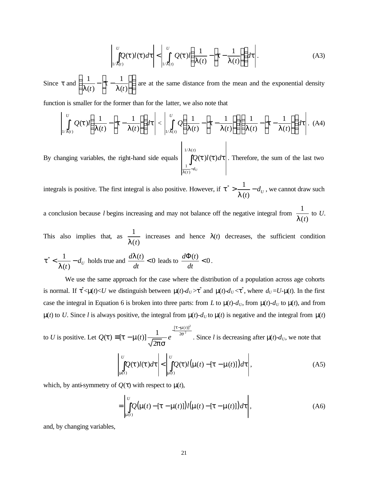$$
\left|\int\limits_{1/I(t)}^{U} Q(t)I(t)dt\right| < \left|\int\limits_{1/I(t)}^{U} Q(t)I\left(\frac{1}{I(t)} - \left[t - \frac{1}{I(t)}\right]\right)dt\right|.
$$
 (A3)

Since  $t$  and  $\left| \frac{1}{I(t)} - \left| t - \frac{1}{I(t)} \right| \right|$  $\overline{\phantom{a}}$  $\lambda$  $\overline{\phantom{a}}$ l ſ  $\overline{\phantom{a}}$ J  $\overline{\phantom{a}}$ F L L  $|t (t)$ 1  $(t)$ 1 *t*  $\left| \begin{array}{cc} t & I(t) \end{array} \right|$ *t l* are at the same distance from the mean and the exponential density

function is smaller for the former than for the latter, we also note that

$$
\left|\int\limits_{L/I(t)}^{U} Q(t) l\left(\frac{1}{I(t)} - \left[t - \frac{1}{I(t)}\right]\right) dt\right| < \left|\int\limits_{L'I(t)}^{U} Q\left(\frac{1}{I(t)} - \left[t - \frac{1}{I(t)}\right]\right) \left(\frac{1}{I(t)} - \left[t - \frac{1}{I(t)}\right]\right) dt\right|.
$$
 (A4)

By changing variables, the right-hand side equals ∫ −  $1/I(t)$  $(t)$ 1  $(t)$  $l(t)$ *t*  $\overline{t}$ <sup>-d</sup><sup>U</sup>  $Q(t)l(t)d$ *l l*  $\int t l(t) dt$ . Therefore, the sum of the last two

integrals is positive. The first integral is also positive. However, if  $t^* > \frac{1}{I(t)} - d_U$  $> \frac{1}{2}$  –  $(t)$  $\sim$  1 *l*  $t^*$  >  $\frac{1}{t}$  –  $d_t$ , we cannot draw such

a conclusion because *l* begins increasing and may not balance off the negative integral from  $(t)$ 1 *l t* to *U*.

This also implies that, as  $(t)$ 1 *l t* increases and hence  $I(t)$  decreases, the sufficient condition

$$
t^* < \frac{1}{I(t)} - d_U
$$
 holds true and  $\frac{dI(t)}{dt} < 0$  leads to  $\frac{d\Phi(t)}{dt} < 0$ .

We use the same approach for the case where the distribution of a population across age cohorts is normal. If  $t^*$ < $m(t)$ < $U$  we distinguish between  $m(t)$ - $d_U$ > $t^*$  and  $m(t)$ - $d_U$ < $t^*$ , where  $d_U = U$ - $m(t)$ . In the first case the integral in Equation 6 is broken into three parts: from *L* to  $\mathbf{m}(t)$ - $d_U$ , from  $\mathbf{m}(t)$ - $d_U$  to  $\mathbf{m}(t)$ , and from  $m(t)$  to *U*. Since *l* is always positive, the integral from  $m(t)$ - $d_U$  to  $m(t)$  is negative and the integral from  $m(t)$ 

to *U* is positive. Let  $Q(t) \equiv [t - m(t)] \frac{1}{\sqrt{1 - t}} e^{-2s^2}$ 2 2  $[t-m(t)]$ 2  $\overline{f}(t) \equiv [t - m(t)] \frac{1}{\sqrt{1 - e^{t}}} e^{-\frac{(t - t)^2}{2s}}$ *t m ps*  $\boldsymbol{t}$   $\boldsymbol{t}$   $\boldsymbol{t}$   $\boldsymbol{t}$   $\boldsymbol{t}$   $\boldsymbol{t}$   $\boldsymbol{t}$ *t*  $Q(t) \equiv [t - m(t)] \frac{1}{t}$  *e*  $-t \equiv [\boldsymbol{t} - \boldsymbol{m}(t)] \frac{1}{\sqrt{1-\mu}} e^{-\lambda s^2}$ . Since *l* is decreasing after  $\boldsymbol{m}(t) - d_U$ , we note that

$$
\left|\int_{\mathbf{m}(t)}^{U} Q(t) l(t) dt \right| < \left|\int_{\mathbf{m}(t)}^{U} Q(t) l(\mathbf{m}(t) - [t - \mathbf{m}(t)]) dt \right|,
$$
\n(A5)

which, by anti-symmetry of  $Q(t)$  with respect to  $m(t)$ ,

$$
= \left| \int_{\mathbf{m}(t)}^{U} Q(\mathbf{m}(t) - [\mathbf{t} - \mathbf{m}(t)]) l(\mathbf{m}(t) - [\mathbf{t} - \mathbf{m}(t)]) dt \right|,
$$
 (A6)

and, by changing variables,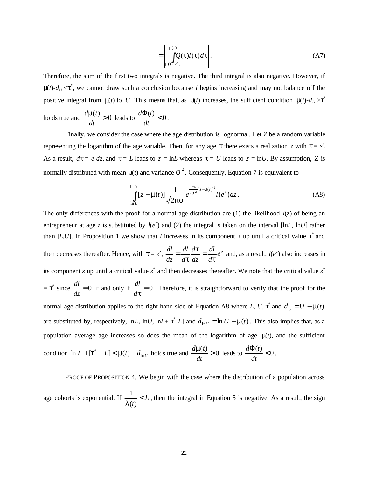$$
= \left| \int_{m(t)-d_U}^{m(t)} Q(t) \, dt \right|.
$$
\n(A7)

Therefore, the sum of the first two integrals is negative. The third integral is also negative. However, if  $m(t)$ - $d_U < t^*$ , we cannot draw such a conclusion because *l* begins increasing and may not balance off the positive integral from  $m(t)$  to U. This means that, as  $m(t)$  increases, the sufficient condition  $m(t)$ - $d_U > t^*$ 

holds true and 
$$
\frac{d\mathbf{m}(t)}{dt} > 0
$$
 leads to  $\frac{d\Phi(t)}{dt} < 0$ .

Finally, we consider the case where the age distribution is lognormal. Let *Z* be a random variable representing the logarithm of the age variable. Then, for any age  $t$  there exists a realization  $z$  with  $t = e^z$ . As a result,  $d\mathbf{t} = e^z dz$ , and  $\mathbf{t} = L$  leads to  $z = \ln L$  whereas  $\mathbf{t} = U$  leads to  $z = \ln U$ . By assumption, *Z* is normally distributed with mean  $m(t)$  and variance  $s^2$ . Consequently, Equation 7 is equivalent to

$$
\int_{\ln L}^{\ln U} [z - \mathbf{m}(t)] \frac{1}{\sqrt{2\mathbf{p}} \mathbf{s}} e^{\frac{-1}{2\mathbf{s}^2} [z - \mathbf{m}(t)]^2} l(e^z) dz.
$$
 (A8)

The only differences with the proof for a normal age distribution are (1) the likelihood  $l(z)$  of being an entrepreneur at age *z* is substituted by  $l(e^z)$  and (2) the integral is taken on the interval [ln*L*, ln*U*] rather than [ $L, U$ ]. In Proposition 1 we show that *l* increases in its component *t* up until a critical value  $t^*$  and then decreases thereafter. Hence, with  $\mathbf{t} = e^z$ ,  $\frac{dt}{dt} = \frac{dt}{dt} \frac{d\mathbf{t}}{dt} = \frac{dt}{dt} e^z$ *d dl dz d d dl dz dl t t t*  $=\frac{at}{dt}$   $\frac{at}{dt} = \frac{at}{dt}e^z$  and, as a result,  $l(e^z)$  also increases in its component *z* up until a critical value  $z^*$  and then decreases thereafter. We note that the critical value  $z^*$  $= t^*$  since  $\frac{du}{dt} = 0$ *dz*  $\frac{dl}{dt} = 0$  if and only if  $\frac{dl}{dt} = 0$ *dt*  $\frac{dl}{dt} = 0$ . Therefore, it is straightforward to verify that the proof for the normal age distribution applies to the right-hand side of Equation A8 where *L*, *U*,  $t^*$  and  $d_U = U - m(t)$ are substituted by, respectively,  $\ln L$ ,  $\ln U$ ,  $\ln L + [t^* - L]$  and  $d_{\ln U} = \ln U - \ln(t)$ . This also implies that, as a population average age increases so does the mean of the logarithm of age *m*(*t*), and the sufficient condition  $\ln L + [t^* - L] < m(t) - d_{\ln U}$  holds true and  $\frac{d\mathbf{m}(t)}{dt} > 0$ *dt*  $\frac{d\mathbf{m}(t)}{dt}$  > 0 leads to  $\frac{d\Phi(t)}{dt}$  < 0 *dt*  $\frac{d\Phi(t)}{dt} < 0.$ 

PROOF OF PROPOSITION 4. We begin with the case where the distribution of a population across age cohorts is exponential. If  $\frac{1}{\sqrt{L}} < L$ *t*  $\prec$  $(t)$ 1 *l* , then the integral in Equation 5 is negative. As a result, the sign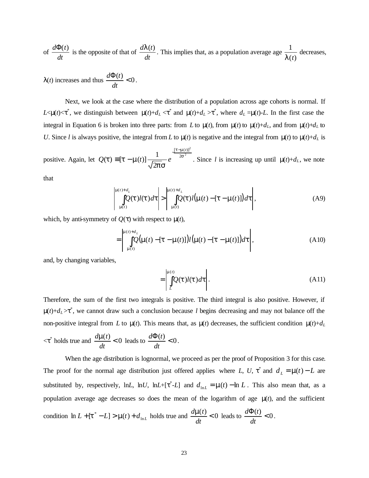of 
$$
\frac{d\Phi(t)}{dt}
$$
 is the opposite of that of  $\frac{d\mathbf{I}(t)}{dt}$ . This implies that, as a population average age  $\frac{1}{\mathbf{I}(t)}$  decreases,

 $I(t)$  increases and thus  $\frac{d\Phi(t)}{dt} < 0$ *dt*  $\frac{d\Phi(t)}{dt} < 0.$ 

Next, we look at the case where the distribution of a population across age cohorts is normal. If  $L < \mathbf{m}(t) < t^*$ , we distinguish between  $\mathbf{m}(t) + d_L < t^*$  and  $\mathbf{m}(t) + d_L > t^*$ , where  $d_L = \mathbf{m}(t) - L$ . In the first case the integral in Equation 6 is broken into three parts: from *L* to  $m(t)$ , from  $m(t)$  to  $m(t)+d<sub>L</sub>$ , and from  $m(t)+d<sub>L</sub>$  to *U*. Since *l* is always positive, the integral from *L* to  $\mathbf{m}(t)$  is negative and the integral from  $\mathbf{m}(t)$  to  $\mathbf{m}(t) + d_L$  is

positive. Again, let  $Q(t) \equiv [t - m(t)] \frac{1}{\sqrt{2\pi}} e^{-2s^2}$ 2 2  $[t-m(t)]$ 2  $\overline{f}(t) \equiv [t - m(t)] \frac{1}{\sqrt{1 - e^{t}}} e^{-\frac{(t - t)^2}{2s}}$ *t m ps*  $\boldsymbol{t}$   $\boldsymbol{t}$   $\boldsymbol{t}$   $\boldsymbol{t}$   $\boldsymbol{t}$   $\boldsymbol{t}$   $\boldsymbol{t}$ *t*  $Q(t) \equiv [t - m(t)] \frac{1}{t}$  *e*  $-t \equiv [\boldsymbol{t} - \boldsymbol{m}(t)] \frac{1}{\sqrt{1-\lambda}} e^{-\lambda t}$ . Since *l* is increasing up until  $\boldsymbol{m}(t) + d_L$ , we note

that

$$
\left|\int_{\mathbf{m}(t)}^{\mathbf{m}(t)+d_L} Q(t)l(t)dt\right| > \left|\int_{\mathbf{m}(t)}^{\mathbf{m}(t)+d_L} Q(t)l(\mathbf{m}(t)-[\mathbf{t}-\mathbf{m}(t)])dt\right|,
$$
\n(A9)

which, by anti-symmetry of  $Q(t)$  with respect to  $m(t)$ ,

$$
= \left| \int_{\mathbf{m}(t)}^{\mathbf{m}(t)+d_L} Q(\mathbf{m}(t) - [\mathbf{t} - \mathbf{m}(t)]) l(\mathbf{m}(t) - [\mathbf{t} - \mathbf{m}(t)]) dt \right|,
$$
 (A10)

and, by changing variables,

$$
= \left| \int_{L}^{m(t)} Q(t) \, dt \right|.
$$
\n(A11)

Therefore, the sum of the first two integrals is positive. The third integral is also positive. However, if  $m(t)+d_L>t^*$ , we cannot draw such a conclusion because *l* begins decreasing and may not balance off the non-positive integral from *L* to  $m(t)$ . This means that, as  $m(t)$  decreases, the sufficient condition  $m(t)+d<sub>L</sub>$ 

 $\langle t^* \rangle$  holds true and  $\frac{d\mathbf{m}(t)}{dt} < 0$ *dt*  $\frac{d\mathbf{m}(t)}{dt}$  < 0 leads to  $\frac{d\Phi(t)}{dt}$  < 0 *dt*  $\frac{d\Phi(t)}{dt} < 0.$ 

When the age distribution is lognormal, we proceed as per the proof of Proposition 3 for this case. The proof for the normal age distribution just offered applies where *L*, *U*,  $t^*$  and  $d_L = m(t) - L$  are substituted by, respectively, ln*L*, ln*U*, ln*L*+[ $t^*$ -*L*] and  $d_{\text{ln}L} = \mathbf{m}(t) - \ln L$ . This also mean that, as a population average age decreases so does the mean of the logarithm of age  $m(t)$ , and the sufficient condition  $\ln L + [t^* - L] > m(t) + d_{\ln L}$  $\ln L + [\mathbf{t}^* - L] > \mathbf{m}(t) + d_{\ln L}$  holds true and  $\frac{d\mathbf{m}(t)}{dt} < 0$ *dt*  $\frac{d\mathbf{m}(t)}{dt}$  < 0 leads to  $\frac{d\Phi(t)}{dt}$  < 0 *dt*  $\frac{d\Phi(t)}{dt} < 0.$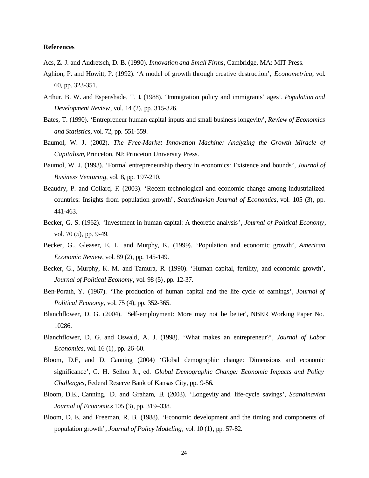## **References**

- Acs, Z. J. and Audretsch, D. B. (1990). *Innovation and Small Firms*, Cambridge, MA: MIT Press.
- Aghion, P. and Howitt, P. (1992). 'A model of growth through creative destruction', *Econometrica*, vol. 60, pp. 323-351.
- Arthur, B. W. and Espenshade, T. J. (1988). 'Immigration policy and immigrants' ages', *Population and Development Review*, vol. 14 (2), pp. 315-326.
- Bates, T. (1990). 'Entrepreneur human capital inputs and small business longevity', *Review of Economics and Statistics*, vol. 72, pp. 551-559.
- Baumol, W. J. (2002). *The Free-Market Innovation Machine: Analyzing the Growth Miracle of Capitalism*, Princeton, NJ: Princeton University Press.
- Baumol, W. J. (1993). 'Formal entrepreneurship theory in economics: Existence and bounds', *Journal of Business Venturing*, vol. 8, pp. 197-210.
- Beaudry, P. and Collard, F. (2003). 'Recent technological and economic change among industrialized countries: Insights from population growth', *Scandinavian Journal of Economics*, vol. 105 (3), pp. 441-463.
- Becker, G. S. (1962). 'Investment in human capital: A theoretic analysis', *Journal of Political Economy*, vol. 70 (5), pp. 9-49.
- Becker, G., Gleaser, E. L. and Murphy, K. (1999). 'Population and economic growth', *American Economic Review*, vol. 89 (2), pp. 145-149.
- Becker, G., Murphy, K. M. and Tamura, R. (1990). 'Human capital, fertility, and economic growth', *Journal of Political Economy*, vol. 98 (5), pp. 12-37.
- Ben-Porath, Y. (1967). 'The production of human capital and the life cycle of earnings', *Journal of Political Economy*, vol. 75 (4), pp. 352-365.
- Blanchflower, D. G. (2004). 'Self-employment: More may not be better', NBER Working Paper No. 10286.
- Blanchflower, D. G. and Oswald, A. J. (1998). 'What makes an entrepreneur?', *Journal of Labor Economics*, vol. 16 (1), pp. 26-60.
- Bloom, D.E, and D. Canning (2004) 'Global demographic change: Dimensions and economic significance', G. H. Sellon Jr., ed. *Global Demographic Change: Economic Impacts and Policy Challenges*, Federal Reserve Bank of Kansas City, pp. 9-56.
- Bloom, D.E., Canning, D. and Graham, B. (2003). 'Longevity and life-cycle savings', *Scandinavian Journal of Economics* 105 (3), pp. 319–338.
- Bloom, D. E. and Freeman, R. B. (1988). 'Economic development and the timing and components of population growth', *Journal of Policy Modeling*, vol. 10 (1), pp. 57-82.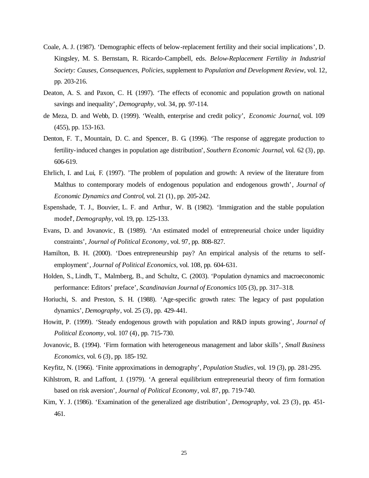- Coale, A. J. (1987). 'Demographic effects of below-replacement fertility and their social implications', D. Kingsley, M. S. Bernstam, R. Ricardo-Campbell, eds. *Below-Replacement Fertility in Industrial Society: Causes, Consequences, Policies*, supplement to *Population and Development Review*, vol. 12, pp. 203-216.
- Deaton, A. S. and Paxon, C. H. (1997). 'The effects of economic and population growth on national savings and inequality', *Demography*, vol. 34, pp. 97-114.
- de Meza, D. and Webb, D. (1999). 'Wealth, enterprise and credit policy', *Economic Journal*, vol. 109 (455), pp. 153-163.
- Denton, F. T., Mountain, D. C. and Spencer, B. G. (1996). 'The response of aggregate production to fertility-induced changes in population age distribution', *Southern Economic Journal*, vol. 62 (3), pp. 606-619.
- Ehrlich, I. and Lui, F. (1997). 'The problem of population and growth: A review of the literature from Malthus to contemporary models of endogenous population and endogenous growth', *Journal of Economic Dynamics and Control*, vol. 21 (1), pp. 205-242.
- Espenshade, T. J., Bouvier, L. F. and Arthur, W. B. (1982). 'Immigration and the stable population model', *Demography*, vol. 19, pp. 125-133.
- Evans, D. and Jovanovic, B. (1989). 'An estimated model of entrepreneurial choice under liquidity constraints', *Journal of Political Economy*, vol. 97, pp. 808-827.
- Hamilton, B. H. (2000). 'Does entrepreneurship pay? An empirical analysis of the returns to selfemployment', *Journal of Political Economics*, vol. 108, pp. 604-631.
- Holden, S., Lindh, T., Malmberg, B., and Schultz, C. (2003). 'Population dynamics and macroeconomic performance: Editors' preface', *Scandinavian Journal of Economics* 105 (3), pp. 317–318.
- Horiuchi, S. and Preston, S. H. (1988). 'Age-specific growth rates: The legacy of past population dynamics', *Demography*, vol. 25 (3), pp. 429-441.
- Howitt, P. (1999). 'Steady endogenous growth with population and R&D inputs growing', *Journal of Political Economy*, vol. 107 (4), pp. 715-730.
- Jovanovic, B. (1994). 'Firm formation with heterogeneous management and labor skills', *Small Business Economics*, vol. 6 (3), pp. 185-192.
- Keyfitz, N. (1966). 'Finite approximations in demography', *Population Studies*, vol. 19 (3), pp. 281-295.
- Kihlstrom, R. and Laffont, J. (1979). 'A general equilibrium entrepreneurial theory of firm formation based on risk aversion', *Journal of Political Economy*, vol. 87, pp. 719-740.
- Kim, Y. J. (1986). 'Examination of the generalized age distribution', *Demography*, vol. 23 (3), pp. 451- 461.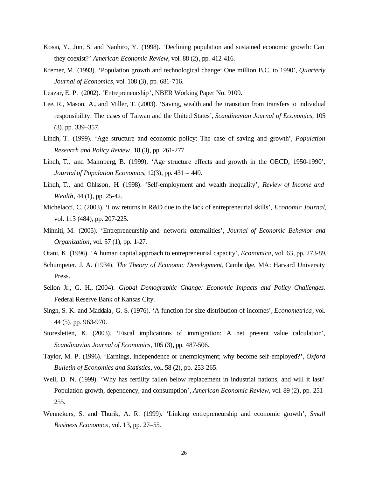- Kosai, Y., Jun, S. and Naohiro, Y. (1998). 'Declining population and sustained economic growth: Can they coexist?' *American Economic Review*, vol. 88 (2), pp. 412-416.
- Kremer, M. (1993). 'Population growth and technological change: One million B.C. to 1990', *Quarterly Journal of Economics*, vol. 108 (3), pp. 681-716.
- Leazar, E. P. (2002). 'Entrepreneurship', NBER Working Paper No. 9109.
- Lee, R., Mason, A., and Miller, T. (2003). 'Saving, wealth and the transition from transfers to individual responsibility: The cases of Taiwan and the United States', *Scandinavian Journal of Economics*, 105 (3), pp. 339–357.
- Lindh, T. (1999). 'Age structure and economic policy: The case of saving and growth', *Population Research and Policy Review,* 18 (3), pp. 261-277.
- Lindh, T., and Malmberg, B. (1999). 'Age structure effects and growth in the OECD, 1950-1990', *Journal of Population Economics*, 12(3), pp. 431 – 449.
- Lindh, T., and Ohlsson, H. (1998). 'Self-employment and wealth inequality', *Review of Income and Wealth*, 44 (1), pp. 25-42.
- Michelacci, C. (2003). 'Low returns in R&D due to the lack of entrepreneurial skills', *Economic Journal*, vol. 113 (484), pp. 207-225.
- Minniti, M. (2005). 'Entrepreneurship and network externalities', *Journal of Economic Behavior and Organization*, vol. 57 (1), pp. 1-27.
- Otani, K. (1996). 'A human capital approach to entrepreneurial capacity', *Economica*, vol. 63, pp. 273-89.
- Schumpeter, J. A. (1934). *The Theory of Economic Development*, Cambridge, MA: Harvard University Press.
- Sellon Jr., G. H., (2004). *Global Demographic Change: Economic Impacts and Policy Challenges.* Federal Reserve Bank of Kansas City.
- Singh, S. K. and Maddala, G. S. (1976). 'A function for size distribution of incomes', *Econometrica*, vol. 44 (5), pp. 963-970.
- Storesletten, K. (2003). 'Fiscal implications of immigration: A net present value calculation', *Scandinavian Journal of Economics*, 105 (3), pp. 487-506.
- Taylor, M. P. (1996). 'Earnings, independence or unemployment; why become self-employed?', *Oxford Bulletin of Economics and Statistics*, vol. 58 (2), pp. 253-265.
- Weil, D. N. (1999). 'Why has fertility fallen below replacement in industrial nations, and will it last? Population growth, dependency, and consumption', *American Economic Review*, vol. 89 (2), pp. 251- 255.
- Wennekers, S. and Thurik, A. R. (1999). 'Linking entrepreneurship and economic growth', *Small Business Economics*, vol. 13, pp. 27–55.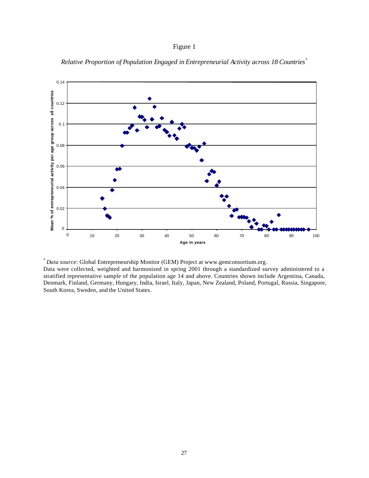## Figure 1



*Relative Proportion of Population Engaged in Entrepreneurial Activity across 18 Countries*\*

Data were collected, weighted and harmonized in spring 2001 through a standardized survey administered to a stratified representative sample of the population age 14 and above. Countries shown include Argentina, Canada, Denmark, Finland, Germany, Hungary, India, Israel, Italy, Japan, New Zealand, Poland, Portugal, Russia, Singapore, South Korea, Sweden, and the United States.

<sup>\*</sup> *Data source*: Global Entrepreneurship Monitor (GEM) Project at www.gemconsortium.org.